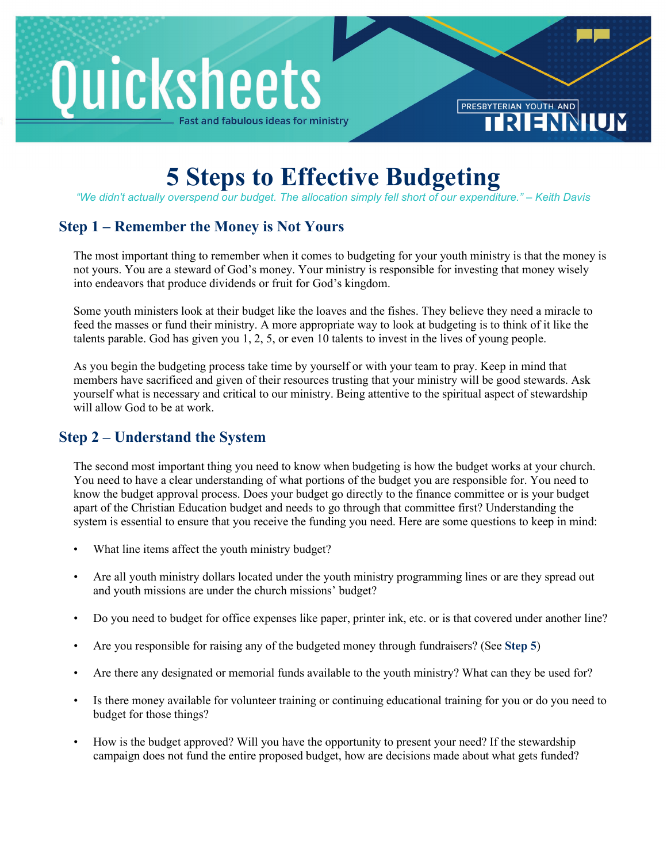# Quicksheets ast and fabulous ideas for ministry

**5 Steps to Effective Budgeting**

PRESBYTERIAN YOUTH AND

*"We didn't actually overspend our budget. The allocation simply fell short of our expenditure." – Keith Davis*

## **Step 1 – Remember the Money is Not Yours**

The most important thing to remember when it comes to budgeting for your youth ministry is that the money is not yours. You are a steward of God's money. Your ministry is responsible for investing that money wisely into endeavors that produce dividends or fruit for God's kingdom.

Some youth ministers look at their budget like the loaves and the fishes. They believe they need a miracle to feed the masses or fund their ministry. A more appropriate way to look at budgeting is to think of it like the talents parable. God has given you 1, 2, 5, or even 10 talents to invest in the lives of young people.

As you begin the budgeting process take time by yourself or with your team to pray. Keep in mind that members have sacrificed and given of their resources trusting that your ministry will be good stewards. Ask yourself what is necessary and critical to our ministry. Being attentive to the spiritual aspect of stewardship will allow God to be at work.

#### **Step 2 – Understand the System**

The second most important thing you need to know when budgeting is how the budget works at your church. You need to have a clear understanding of what portions of the budget you are responsible for. You need to know the budget approval process. Does your budget go directly to the finance committee or is your budget apart of the Christian Education budget and needs to go through that committee first? Understanding the system is essential to ensure that you receive the funding you need. Here are some questions to keep in mind:

- What line items affect the youth ministry budget?
- Are all youth ministry dollars located under the youth ministry programming lines or are they spread out and youth missions are under the church missions' budget?
- Do you need to budget for office expenses like paper, printer ink, etc. or is that covered under another line?
- Are you responsible for raising any of the budgeted money through fundraisers? (See **Step 5**)
- Are there any designated or memorial funds available to the youth ministry? What can they be used for?
- Is there money available for volunteer training or continuing educational training for you or do you need to budget for those things?
- How is the budget approved? Will you have the opportunity to present your need? If the stewardship campaign does not fund the entire proposed budget, how are decisions made about what gets funded?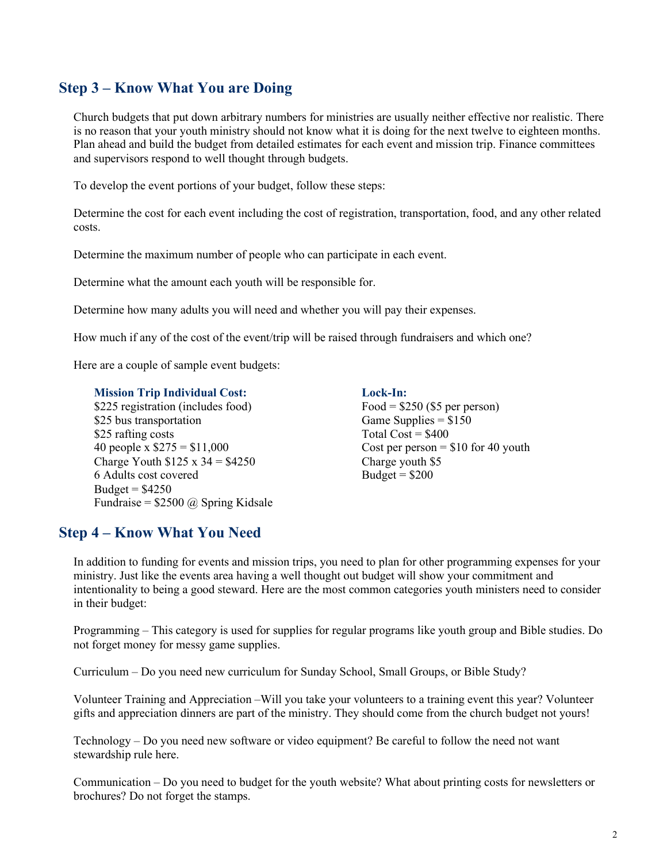### **Step 3 – Know What You are Doing**

Church budgets that put down arbitrary numbers for ministries are usually neither effective nor realistic. There is no reason that your youth ministry should not know what it is doing for the next twelve to eighteen months. Plan ahead and build the budget from detailed estimates for each event and mission trip. Finance committees and supervisors respond to well thought through budgets.

To develop the event portions of your budget, follow these steps:

Determine the cost for each event including the cost of registration, transportation, food, and any other related costs.

Determine the maximum number of people who can participate in each event.

Determine what the amount each youth will be responsible for.

Determine how many adults you will need and whether you will pay their expenses.

How much if any of the cost of the event/trip will be raised through fundraisers and which one?

Here are a couple of sample event budgets:

**Mission Trip Individual Cost:** \$225 registration (includes food) \$25 bus transportation \$25 rafting costs 40 people x \$275 = \$11,000 Charge Youth  $$125 \times 34 = $4250$ 6 Adults cost covered Budget =  $$4250$ Fundraise =  $$2500$  @ Spring Kidsale **Lock-In:**

Food =  $$250$  (\$5 per person) Game Supplies  $= $150$ Total  $Cost = $400$ Cost per person  $= $10$  for 40 youth Charge youth \$5 Budget =  $$200$ 

#### **Step 4 – Know What You Need**

In addition to funding for events and mission trips, you need to plan for other programming expenses for your ministry. Just like the events area having a well thought out budget will show your commitment and intentionality to being a good steward. Here are the most common categories youth ministers need to consider in their budget:

Programming – This category is used for supplies for regular programs like youth group and Bible studies. Do not forget money for messy game supplies.

Curriculum – Do you need new curriculum for Sunday School, Small Groups, or Bible Study?

Volunteer Training and Appreciation –Will you take your volunteers to a training event this year? Volunteer gifts and appreciation dinners are part of the ministry. They should come from the church budget not yours!

Technology – Do you need new software or video equipment? Be careful to follow the need not want stewardship rule here.

Communication – Do you need to budget for the youth website? What about printing costs for newsletters or brochures? Do not forget the stamps.